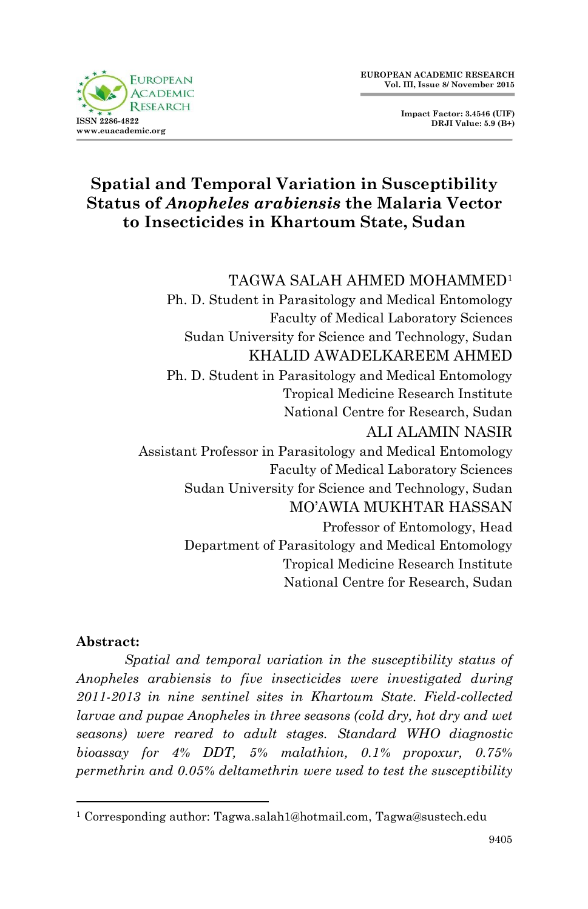

**Impact Factor: 3.4546 (UIF) DRJI Value: 5.9 (B+)**

# **Spatial and Temporal Variation in Susceptibility Status of** *Anopheles arabiensis* **the Malaria Vector to Insecticides in Khartoum State, Sudan**

#### TAGWA SALAH AHMED MOHAMMED<sup>1</sup>

Ph. D. Student in Parasitology and Medical Entomology Faculty of Medical Laboratory Sciences Sudan University for Science and Technology, Sudan KHALID AWADELKAREEM AHMED Ph. D. Student in Parasitology and Medical Entomology Tropical Medicine Research Institute National Centre for Research, Sudan ALI ALAMIN NASIR Assistant Professor in Parasitology and Medical Entomology Faculty of Medical Laboratory Sciences Sudan University for Science and Technology, Sudan MO'AWIA MUKHTAR HASSAN Professor of Entomology, Head Department of Parasitology and Medical Entomology Tropical Medicine Research Institute National Centre for Research, Sudan

#### **Abstract:**

1

*Spatial and temporal variation in the susceptibility status of Anopheles arabiensis to five insecticides were investigated during 2011-2013 in nine sentinel sites in Khartoum State. Field-collected larvae and pupae Anopheles in three seasons (cold dry, hot dry and wet seasons) were reared to adult stages. Standard WHO diagnostic bioassay for 4% DDT, 5% malathion, 0.1% propoxur, 0.75% permethrin and 0.05% deltamethrin were used to test the susceptibility* 

<sup>&</sup>lt;sup>1</sup> Corresponding author: Tagwa.salah1@hotmail.com, Tagwa@sustech.edu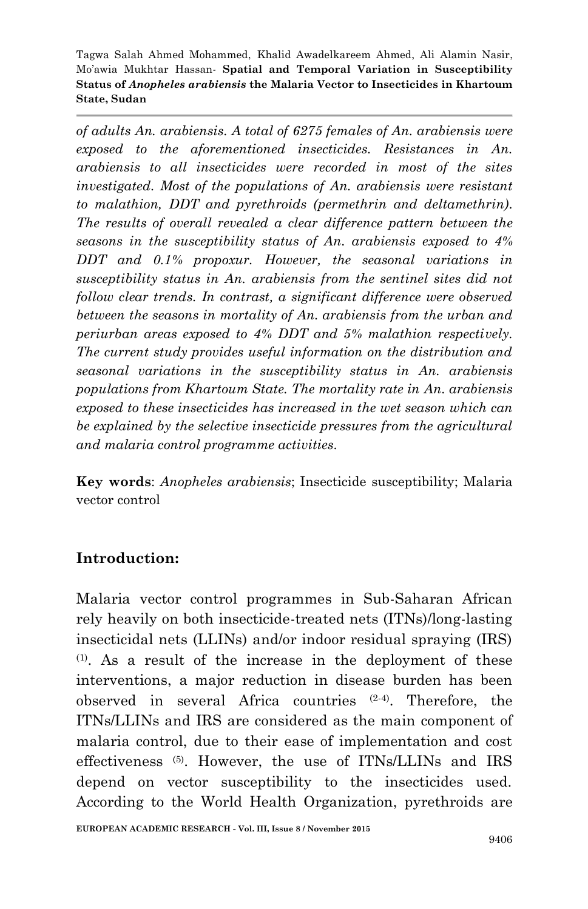*of adults An. arabiensis. A total of 6275 females of An. arabiensis were exposed to the aforementioned insecticides. Resistances in An. arabiensis to all insecticides were recorded in most of the sites investigated. Most of the populations of An. arabiensis were resistant to malathion, DDT and pyrethroids (permethrin and deltamethrin). The results of overall revealed a clear difference pattern between the seasons in the susceptibility status of An. arabiensis exposed to 4% DDT and 0.1% propoxur. However, the seasonal variations in susceptibility status in An. arabiensis from the sentinel sites did not follow clear trends. In contrast, a significant difference were observed between the seasons in mortality of An. arabiensis from the urban and periurban areas exposed to 4% DDT and 5% malathion respectively. The current study provides useful information on the distribution and seasonal variations in the susceptibility status in An. arabiensis populations from Khartoum State. The mortality rate in An. arabiensis exposed to these insecticides has increased in the wet season which can be explained by the selective insecticide pressures from the agricultural and malaria control programme activities.*

**Key words**: *Anopheles arabiensis*; Insecticide susceptibility; Malaria vector control

#### **Introduction:**

Malaria vector control programmes in Sub-Saharan African rely heavily on both insecticide-treated nets (ITNs)/long-lasting insecticidal nets (LLINs) and/or indoor residual spraying (IRS) (1) . As a result of the increase in the deployment of these interventions, a major reduction in disease burden has been observed in several Africa countries (2-4) . Therefore, the ITNs/LLINs and IRS are considered as the main component of malaria control, due to their ease of implementation and cost effectiveness (5) . However, the use of ITNs/LLINs and IRS depend on vector susceptibility to the insecticides used. According to the World Health Organization, pyrethroids are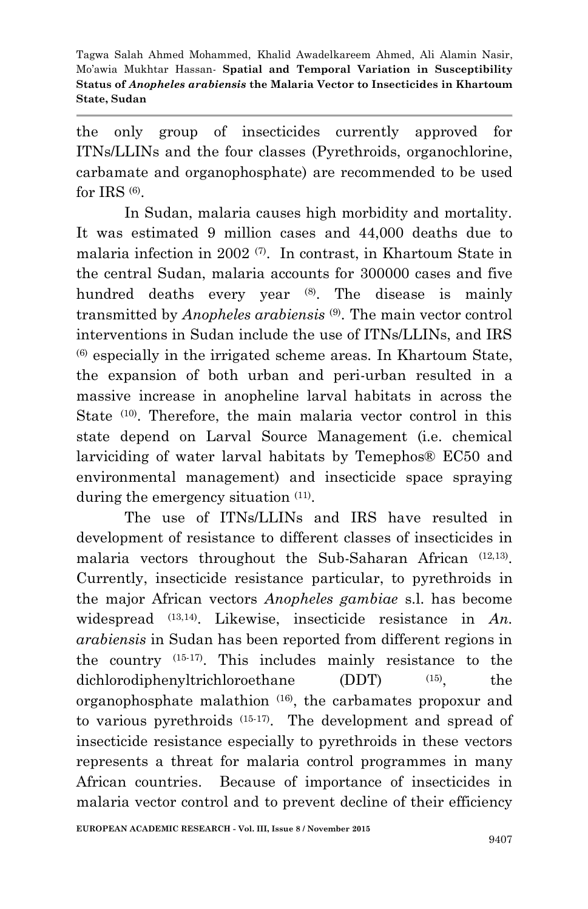the only group of insecticides currently approved for ITNs/LLINs and the four classes (Pyrethroids, organochlorine, carbamate and organophosphate) are recommended to be used for IRS  $(6)$ .

In Sudan, malaria causes high morbidity and mortality. It was estimated 9 million cases and 44,000 deaths due to malaria infection in 2002 (7). In contrast, in Khartoum State in the central Sudan, malaria accounts for 300000 cases and five hundred deaths every year  $(8)$ . The disease is mainly transmitted by *Anopheles arabiensis* (9) . The main vector control interventions in Sudan include the use of ITNs/LLINs, and IRS  $<sup>(6)</sup>$  especially in the irrigated scheme areas. In Khartoum State,</sup> the expansion of both urban and peri-urban resulted in a massive increase in anopheline larval habitats in across the State (10). Therefore, the main malaria vector control in this state depend on Larval Source Management (i.e. chemical larviciding of water larval habitats by Temephos® EC50 and environmental management) and insecticide space spraying during the emergency situation  $(11)$ .

The use of ITNs/LLINs and IRS have resulted in development of resistance to different classes of insecticides in malaria vectors throughout the Sub-Saharan African (12,13) . Currently, insecticide resistance particular, to pyrethroids in the major African vectors *Anopheles gambiae* s.l. has become widespread  $(13,14)$ . Likewise, insecticide resistance in *An*. *arabiensis* in Sudan has been reported from different regions in the country (15-17) . This includes mainly resistance to the dichlorodiphenyltrichloroethane (DDT) (15), , the organophosphate malathion (16) , the carbamates propoxur and to various pyrethroids (15-17) . The development and spread of insecticide resistance especially to pyrethroids in these vectors represents a threat for malaria control programmes in many African countries. Because of importance of insecticides in malaria vector control and to prevent decline of their efficiency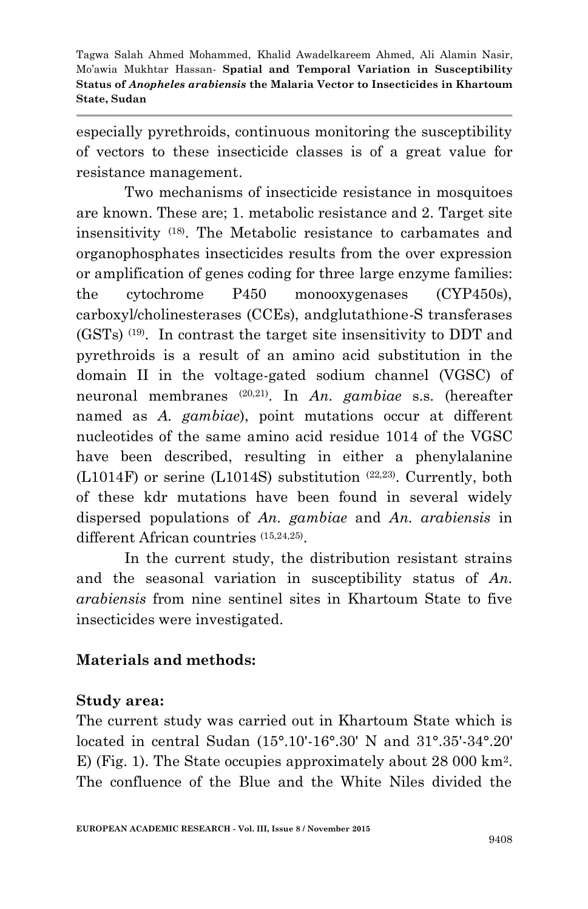especially pyrethroids, continuous monitoring the susceptibility of vectors to these insecticide classes is of a great value for resistance management.

Two mechanisms of insecticide resistance in mosquitoes are known. These are; 1. metabolic resistance and 2. Target site insensitivity (18) . The Metabolic resistance to carbamates and organophosphates insecticides results from the over expression or amplification of genes coding for three large enzyme families: the cytochrome P450 monooxygenases (CYP450s), carboxyl/cholinesterases (CCEs), andglutathione-S transferases (GSTs) (19) . In contrast the target site insensitivity to DDT and pyrethroids is a result of an amino acid substitution in the domain II in the voltage-gated sodium channel (VGSC) of neuronal membranes (20,21) . In *An. gambiae* s.s. (hereafter named as *A. gambiae*), point mutations occur at different nucleotides of the same amino acid residue 1014 of the VGSC have been described, resulting in either a phenylalanine  $(L1014F)$  or serine  $(L1014S)$  substitution  $(22,23)$ . Currently, both of these kdr mutations have been found in several widely dispersed populations of *An. gambiae* and *An. arabiensis* in different African countries (15,24,25) .

In the current study, the distribution resistant strains and the seasonal variation in susceptibility status of *An. arabiensis* from nine sentinel sites in Khartoum State to five insecticides were investigated.

### **Materials and methods:**

### **Study area:**

The current study was carried out in Khartoum State which is located in central Sudan (15°.10'-16°.30' N and 31°.35'-34°.20' E) (Fig. 1). The State occupies approximately about 28 000 km<sup>2</sup>. The confluence of the Blue and the White Niles divided the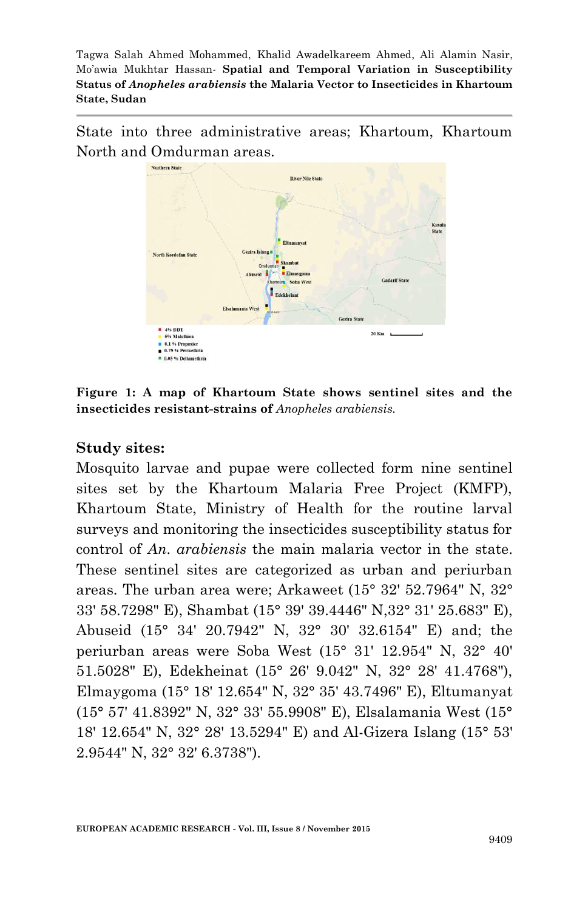State into three administrative areas; Khartoum, Khartoum North and Omdurman areas.



**Figure 1: A map of Khartoum State shows sentinel sites and the insecticides resistant-strains of** *Anopheles arabiensis.*

#### **Study sites:**

Mosquito larvae and pupae were collected form nine sentinel sites set by the Khartoum Malaria Free Project (KMFP), Khartoum State, Ministry of Health for the routine larval surveys and monitoring the insecticides susceptibility status for control of *An. arabiensis* the main malaria vector in the state. These sentinel sites are categorized as urban and periurban areas. The urban area were; Arkaweet (15° 32' 52.7964" N, 32° 33' 58.7298" E), Shambat (15° 39' 39.4446" N,32° 31' 25.683" E), Abuseid (15° 34' 20.7942" N, 32° 30' 32.6154" E) and; the periurban areas were Soba West (15° 31' 12.954" N, 32° 40' 51.5028" E), Edekheinat (15° 26' 9.042" N, 32° 28' 41.4768"), Elmaygoma (15° 18' 12.654" N, 32° 35' 43.7496" E), Eltumanyat (15° 57' 41.8392" N, 32° 33' 55.9908" E), Elsalamania West (15° 18' 12.654" N, 32° 28' 13.5294" E) and Al-Gizera Islang (15° 53' 2.9544" N, 32° 32' 6.3738").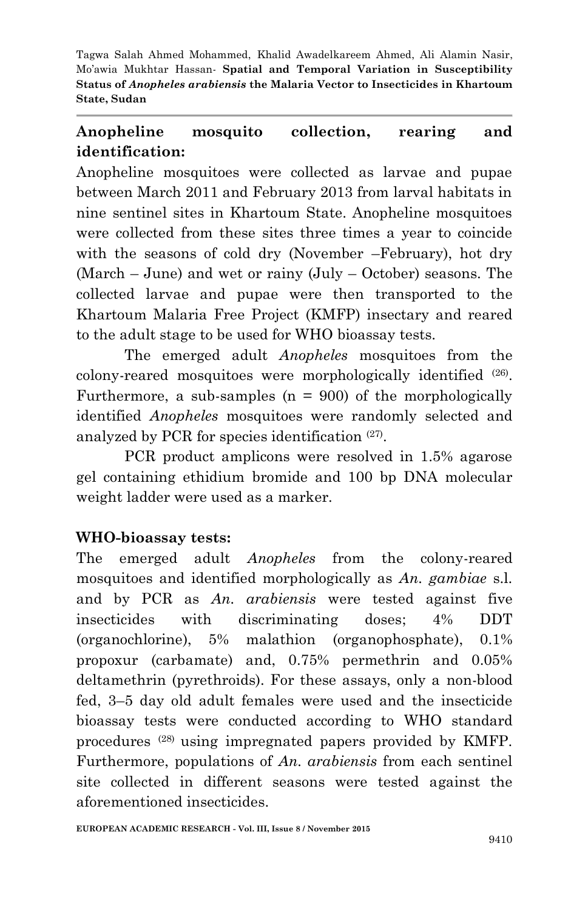# **Anopheline mosquito collection, rearing and identification:**

Anopheline mosquitoes were collected as larvae and pupae between March 2011 and February 2013 from larval habitats in nine sentinel sites in Khartoum State. Anopheline mosquitoes were collected from these sites three times a year to coincide with the seasons of cold dry (November –February), hot dry (March – June) and wet or rainy (July – October) seasons. The collected larvae and pupae were then transported to the Khartoum Malaria Free Project (KMFP) insectary and reared to the adult stage to be used for WHO bioassay tests.

The emerged adult *Anopheles* mosquitoes from the colony-reared mosquitoes were morphologically identified (26) . Furthermore, a sub-samples  $(n = 900)$  of the morphologically identified *Anopheles* mosquitoes were randomly selected and analyzed by PCR for species identification (27) .

PCR product amplicons were resolved in 1.5% agarose gel containing ethidium bromide and 100 bp DNA molecular weight ladder were used as a marker.

### **WHO-bioassay tests:**

The emerged adult *Anopheles* from the colony-reared mosquitoes and identified morphologically as *An. gambiae* s.l. and by PCR as *An. arabiensis* were tested against five insecticides with discriminating doses; 4% DDT (organochlorine), 5% malathion (organophosphate), 0.1% propoxur (carbamate) and, 0.75% permethrin and 0.05% deltamethrin (pyrethroids). For these assays, only a non-blood fed, 3–5 day old adult females were used and the insecticide bioassay tests were conducted according to WHO standard procedures (28) using impregnated papers provided by KMFP. Furthermore, populations of *An. arabiensis* from each sentinel site collected in different seasons were tested against the aforementioned insecticides.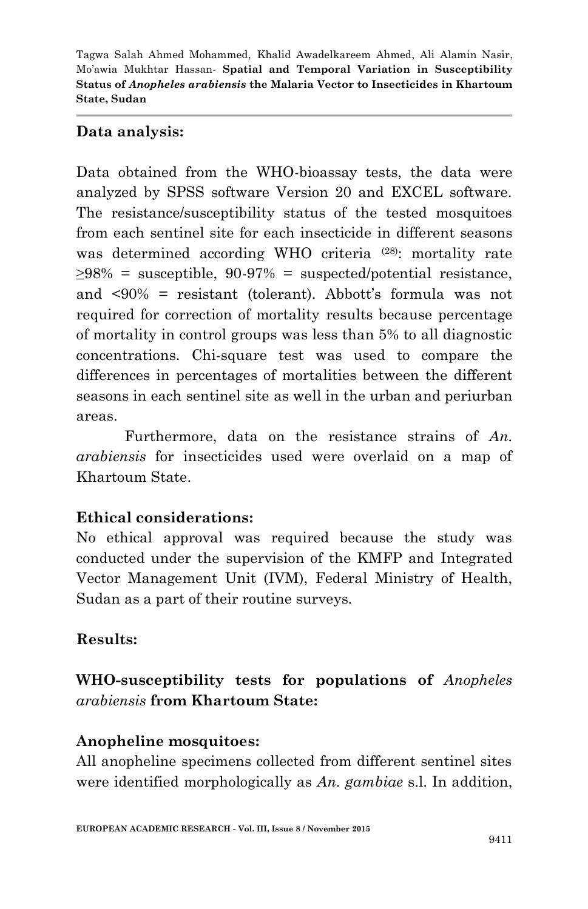#### **Data analysis:**

Data obtained from the WHO-bioassay tests, the data were analyzed by SPSS software Version 20 and EXCEL software. The resistance/susceptibility status of the tested mosquitoes from each sentinel site for each insecticide in different seasons was determined according WHO criteria<sup>(28)</sup>: mortality rate  $>98\%$  = susceptible, 90-97% = suspected/potential resistance. and <90% = resistant (tolerant). Abbott's formula was not required for correction of mortality results because percentage of mortality in control groups was less than 5% to all diagnostic concentrations. Chi-square test was used to compare the differences in percentages of mortalities between the different seasons in each sentinel site as well in the urban and periurban areas.

Furthermore, data on the resistance strains of *An. arabiensis* for insecticides used were overlaid on a map of Khartoum State.

### **Ethical considerations:**

No ethical approval was required because the study was conducted under the supervision of the KMFP and Integrated Vector Management Unit (IVM), Federal Ministry of Health, Sudan as a part of their routine surveys.

### **Results:**

## **WHO-susceptibility tests for populations of** *Anopheles arabiensis* **from Khartoum State:**

#### **Anopheline mosquitoes:**

All anopheline specimens collected from different sentinel sites were identified morphologically as *An. gambiae* s.l. In addition,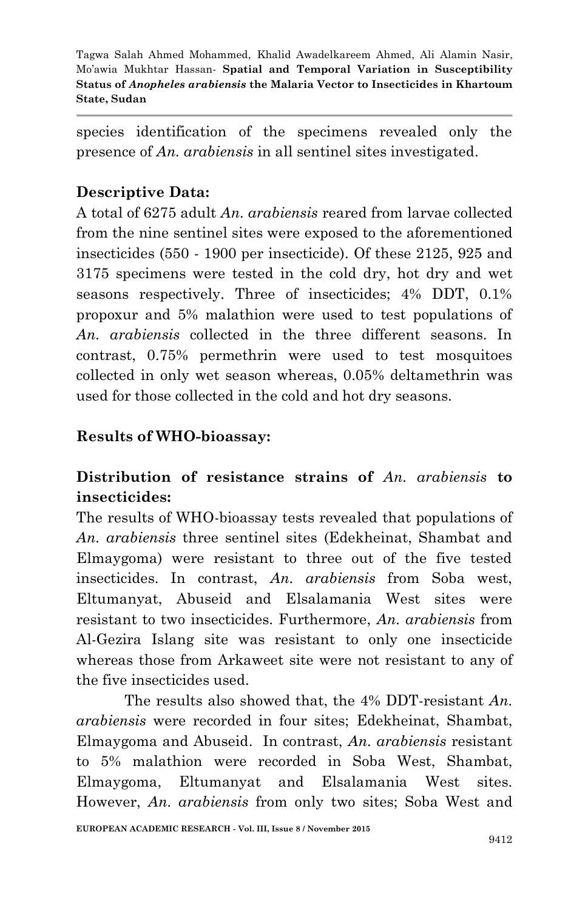species identification of the specimens revealed only the presence of *An. arabiensis* in all sentinel sites investigated.

## **Descriptive Data:**

A total of 6275 adult *An. arabiensis* reared from larvae collected from the nine sentinel sites were exposed to the aforementioned insecticides (550 - 1900 per insecticide). Of these 2125, 925 and 3175 specimens were tested in the cold dry, hot dry and wet seasons respectively. Three of insecticides; 4% DDT, 0.1% propoxur and 5% malathion were used to test populations of *An. arabiensis* collected in the three different seasons. In contrast, 0.75% permethrin were used to test mosquitoes collected in only wet season whereas, 0.05% deltamethrin was used for those collected in the cold and hot dry seasons.

### **Results of WHO-bioassay:**

# **Distribution of resistance strains of** *An. arabiensis* **to insecticides:**

The results of WHO-bioassay tests revealed that populations of *An. arabiensis* three sentinel sites (Edekheinat, Shambat and Elmaygoma) were resistant to three out of the five tested insecticides. In contrast, *An. arabiensis* from Soba west, Eltumanyat, Abuseid and Elsalamania West sites were resistant to two insecticides. Furthermore, *An. arabiensis* from Al-Gezira Islang site was resistant to only one insecticide whereas those from Arkaweet site were not resistant to any of the five insecticides used.

The results also showed that, the 4% DDT-resistant *An. arabiensis* were recorded in four sites; Edekheinat, Shambat, Elmaygoma and Abuseid. In contrast, *An. arabiensis* resistant to 5% malathion were recorded in Soba West, Shambat, Elmaygoma, Eltumanyat and Elsalamania West sites. However, *An. arabiensis* from only two sites; Soba West and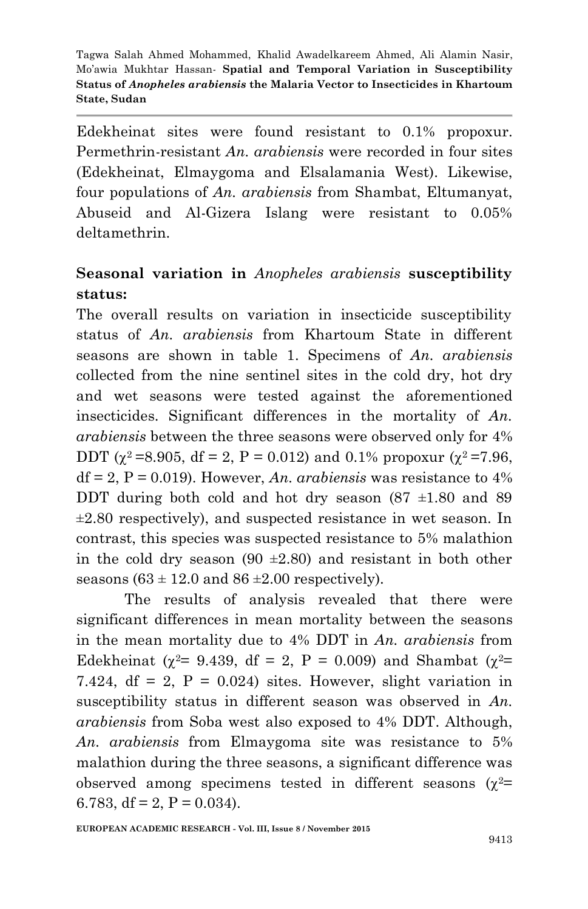Edekheinat sites were found resistant to 0.1% propoxur. Permethrin-resistant *An. arabiensis* were recorded in four sites (Edekheinat, Elmaygoma and Elsalamania West). Likewise, four populations of *An. arabiensis* from Shambat, Eltumanyat, Abuseid and Al-Gizera Islang were resistant to 0.05% deltamethrin.

# **Seasonal variation in** *Anopheles arabiensis* **susceptibility status:**

The overall results on variation in insecticide susceptibility status of *An. arabiensis* from Khartoum State in different seasons are shown in table 1. Specimens of *An. arabiensis*  collected from the nine sentinel sites in the cold dry, hot dry and wet seasons were tested against the aforementioned insecticides. Significant differences in the mortality of *An. arabiensis* between the three seasons were observed only for 4% DDT ( $\chi^2$  =8.905, df = 2, P = 0.012) and 0.1% propoxur ( $\chi^2$  =7.96,  $df = 2$ ,  $P = 0.019$ ). However, *An. arabiensis* was resistance to 4% DDT during both cold and hot dry season  $(87 \pm 1.80)$  and 89 ±2.80 respectively), and suspected resistance in wet season. In contrast, this species was suspected resistance to 5% malathion in the cold dry season  $(90 \pm 2.80)$  and resistant in both other seasons  $(63 \pm 12.0 \text{ and } 86 \pm 2.00 \text{ respectively})$ .

The results of analysis revealed that there were significant differences in mean mortality between the seasons in the mean mortality due to 4% DDT in *An. arabiensis* from Edekheinat ( $\chi^2$ = 9.439, df = 2, P = 0.009) and Shambat ( $\chi^2$ = 7.424, df = 2,  $P = 0.024$ ) sites. However, slight variation in susceptibility status in different season was observed in *An. arabiensis* from Soba west also exposed to 4% DDT. Although, *An. arabiensis* from Elmaygoma site was resistance to 5% malathion during the three seasons, a significant difference was observed among specimens tested in different seasons  $(\chi^2=$ 6.783, df = 2,  $P = 0.034$ ).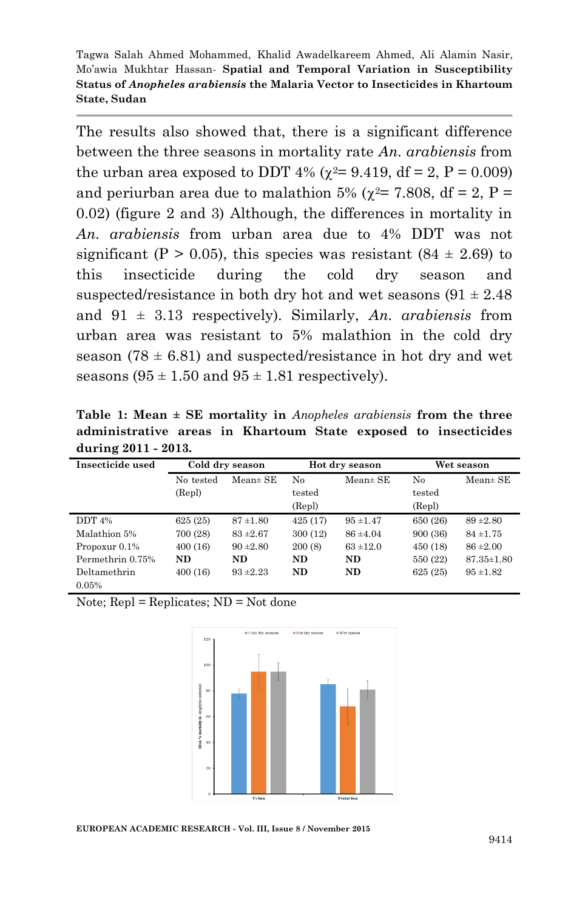The results also showed that, there is a significant difference between the three seasons in mortality rate *An. arabiensis* from the urban area exposed to DDT 4% ( $\chi^2$  = 9.419, df = 2, P = 0.009) and periurban area due to malathion 5% ( $\chi^2$ = 7.808, df = 2, P = 0.02) (figure 2 and 3) Although, the differences in mortality in *An. arabiensis* from urban area due to 4% DDT was not significant (P > 0.05), this species was resistant  $(84 \pm 2.69)$  to this insecticide during the cold dry season and suspected/resistance in both dry hot and wet seasons  $(91 \pm 2.48)$ and 91 ± 3.13 respectively). Similarly, *An. arabiensis* from urban area was resistant to 5% malathion in the cold dry season  $(78 \pm 6.81)$  and suspected/resistance in hot dry and wet seasons  $(95 \pm 1.50$  and  $95 \pm 1.81$  respectively).

**Table 1: Mean ± SE mortality in** *Anopheles arabiensis* **from the three administrative areas in Khartoum State exposed to insecticides during 2011 - 2013.**

| Insecticide used | Cold dry season |               | Hot dry season |               | Wet season |                  |
|------------------|-----------------|---------------|----------------|---------------|------------|------------------|
|                  | No tested       | $Mean±$ SE    | No             | $Mean \pm SE$ | No         | $Mean±$ SE       |
|                  | (Repl)          |               | tested         |               | tested     |                  |
|                  |                 |               | (Repl)         |               | (Repl)     |                  |
| DDT $4\%$        | 625(25)         | $87 + 1.80$   | 425(17)        | $95 + 1.47$   | 650 (26)   | $89 + 2.80$      |
| Malathion 5%     | 700 (28)        | $83 + 2.67$   | 300 (12)       | $86 + 4.04$   | 900 (36)   | $84 + 1.75$      |
| Propoxur $0.1\%$ | 400(16)         | $90 \pm 2.80$ | 200(8)         | $63 + 12.0$   | 450(18)    | $86 = 2.00$      |
| Permethrin 0.75% | <b>ND</b>       | ND.           | ND.            | ND.           | 550 (22)   | $87.35 \pm 1.80$ |
| Deltamethrin     | 400(16)         | $93 + 2.23$   | ND.            | ND.           | 625(25)    | $95 + 1.82$      |
| 0.05%            |                 |               |                |               |            |                  |

Note;  $Repl = Replicates$ ;  $ND = Not$  done



**EUROPEAN ACADEMIC RESEARCH - Vol. III, Issue 8 / November 2015**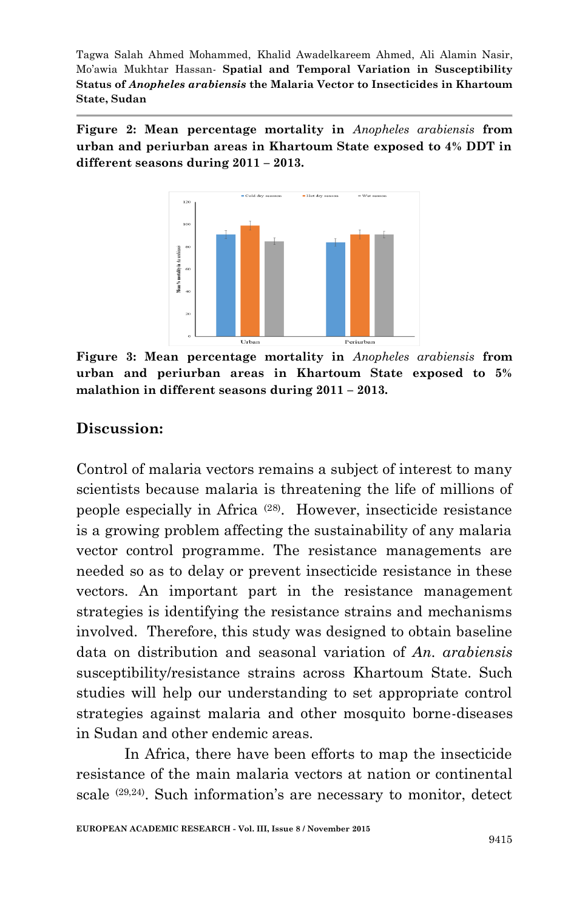**Figure 2: Mean percentage mortality in** *Anopheles arabiensis* **from urban and periurban areas in Khartoum State exposed to 4% DDT in different seasons during 2011 – 2013.**



**Figure 3: Mean percentage mortality in** *Anopheles arabiensis* **from urban and periurban areas in Khartoum State exposed to 5% malathion in different seasons during 2011 – 2013.**

#### **Discussion:**

Control of malaria vectors remains a subject of interest to many scientists because malaria is threatening the life of millions of people especially in Africa (28) . However, insecticide resistance is a growing problem affecting the sustainability of any malaria vector control programme. The resistance managements are needed so as to delay or prevent insecticide resistance in these vectors. An important part in the resistance management strategies is identifying the resistance strains and mechanisms involved. Therefore, this study was designed to obtain baseline data on distribution and seasonal variation of *An. arabiensis*  susceptibility/resistance strains across Khartoum State. Such studies will help our understanding to set appropriate control strategies against malaria and other mosquito borne-diseases in Sudan and other endemic areas.

In Africa, there have been efforts to map the insecticide resistance of the main malaria vectors at nation or continental scale <sup>(29,24)</sup>. Such information's are necessary to monitor, detect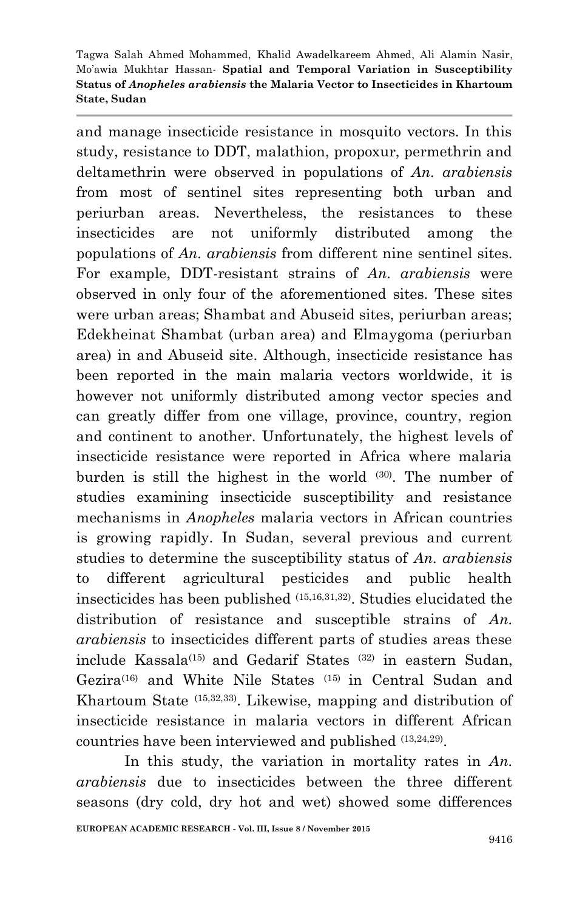and manage insecticide resistance in mosquito vectors. In this study, resistance to DDT, malathion, propoxur, permethrin and deltamethrin were observed in populations of *An. arabiensis*  from most of sentinel sites representing both urban and periurban areas. Nevertheless, the resistances to these insecticides are not uniformly distributed among the populations of *An. arabiensis* from different nine sentinel sites. For example, DDT-resistant strains of *An. arabiensis* were observed in only four of the aforementioned sites. These sites were urban areas; Shambat and Abuseid sites, periurban areas; Edekheinat Shambat (urban area) and Elmaygoma (periurban area) in and Abuseid site. Although, insecticide resistance has been reported in the main malaria vectors worldwide, it is however not uniformly distributed among vector species and can greatly differ from one village, province, country, region and continent to another. Unfortunately, the highest levels of insecticide resistance were reported in Africa where malaria burden is still the highest in the world (30). The number of studies examining insecticide susceptibility and resistance mechanisms in *Anopheles* malaria vectors in African countries is growing rapidly. In Sudan, several previous and current studies to determine the susceptibility status of *An. arabiensis*  to different agricultural pesticides and public health insecticides has been published (15,16,31,32) . Studies elucidated the distribution of resistance and susceptible strains of *An. arabiensis* to insecticides different parts of studies areas these include Kassala(15) and Gedarif States (32) in eastern Sudan, Gezira(16) and White Nile States (15) in Central Sudan and Khartoum State (15,32,33) . Likewise, mapping and distribution of insecticide resistance in malaria vectors in different African countries have been interviewed and published (13,24,29) .

In this study, the variation in mortality rates in *An. arabiensis* due to insecticides between the three different seasons (dry cold, dry hot and wet) showed some differences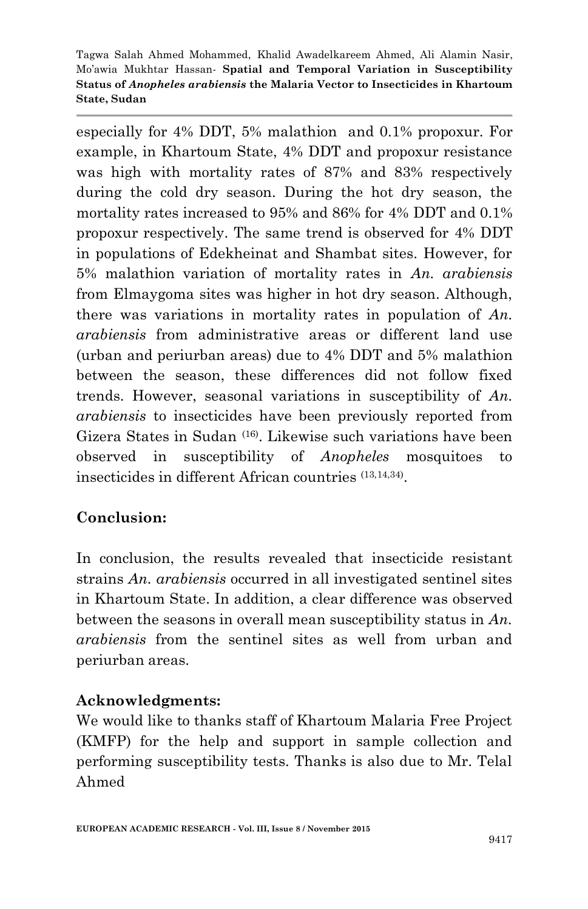especially for 4% DDT, 5% malathion and 0.1% propoxur. For example, in Khartoum State, 4% DDT and propoxur resistance was high with mortality rates of 87% and 83% respectively during the cold dry season. During the hot dry season, the mortality rates increased to 95% and 86% for 4% DDT and 0.1% propoxur respectively. The same trend is observed for 4% DDT in populations of Edekheinat and Shambat sites. However, for 5% malathion variation of mortality rates in *An. arabiensis*  from Elmaygoma sites was higher in hot dry season. Although, there was variations in mortality rates in population of *An. arabiensis* from administrative areas or different land use (urban and periurban areas) due to 4% DDT and 5% malathion between the season, these differences did not follow fixed trends. However, seasonal variations in susceptibility of *An. arabiensis* to insecticides have been previously reported from Gizera States in Sudan (16) . Likewise such variations have been observed in susceptibility of *Anopheles* mosquitoes to insecticides in different African countries (13,14,34) .

### **Conclusion:**

In conclusion, the results revealed that insecticide resistant strains *An. arabiensis* occurred in all investigated sentinel sites in Khartoum State. In addition, a clear difference was observed between the seasons in overall mean susceptibility status in *An. arabiensis* from the sentinel sites as well from urban and periurban areas.

#### **Acknowledgments:**

We would like to thanks staff of Khartoum Malaria Free Project (KMFP) for the help and support in sample collection and performing susceptibility tests. Thanks is also due to Mr. Telal Ahmed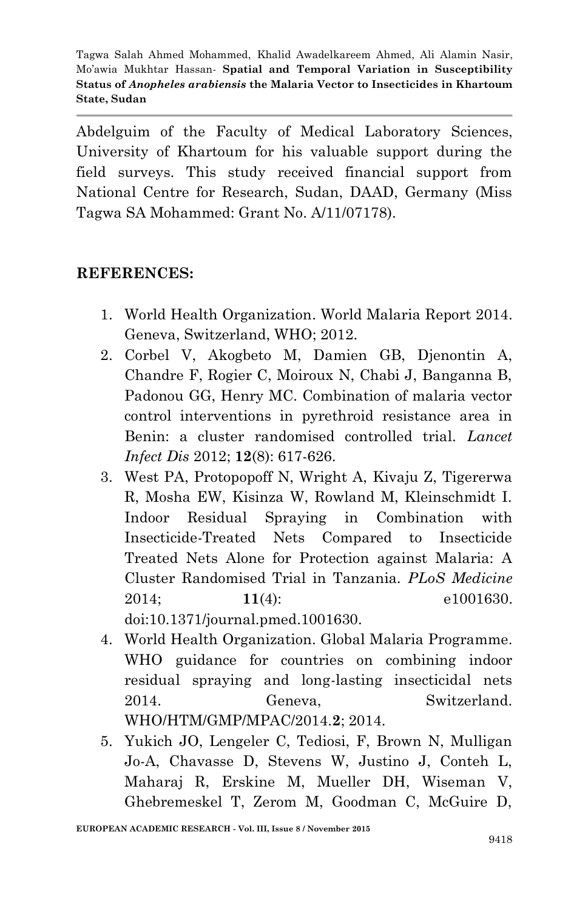Abdelguim of the Faculty of Medical Laboratory Sciences, University of Khartoum for his valuable support during the field surveys. This study received financial support from National Centre for Research, Sudan, DAAD, Germany (Miss Tagwa SA Mohammed: Grant No. A/11/07178).

#### **REFERENCES:**

- 1. World Health Organization. World Malaria Report 2014. Geneva, Switzerland, WHO; 2012.
- 2. Corbel V, Akogbeto M, Damien GB, Djenontin A, Chandre F, Rogier C, Moiroux N, Chabi J, Banganna B, Padonou GG, Henry MC. Combination of malaria vector control interventions in pyrethroid resistance area in Benin: a cluster randomised controlled trial. *Lancet Infect Dis* 2012; **12**(8): 617-626.
- 3. West PA, Protopopoff N, Wright A, Kivaju Z, Tigererwa R, Mosha EW, Kisinza W, Rowland M, Kleinschmidt I. Indoor Residual Spraying in Combination with Insecticide-Treated Nets Compared to Insecticide Treated Nets Alone for Protection against Malaria: A Cluster Randomised Trial in Tanzania. *PLoS Medicine* 2014; **11**(4): e1001630. doi:10.1371/journal.pmed.1001630.
- 4. World Health Organization. Global Malaria Programme. WHO guidance for countries on combining indoor residual spraying and long-lasting insecticidal nets 2014. Geneva, Switzerland. WHO/HTM/GMP/MPAC/2014.**2**; 2014.
- 5. Yukich JO, Lengeler C, Tediosi, F, Brown N, Mulligan Jo-A, Chavasse D, Stevens W, Justino J, Conteh L, Maharaj R, Erskine M, Mueller DH, Wiseman V, Ghebremeskel T, Zerom M, Goodman C, McGuire D,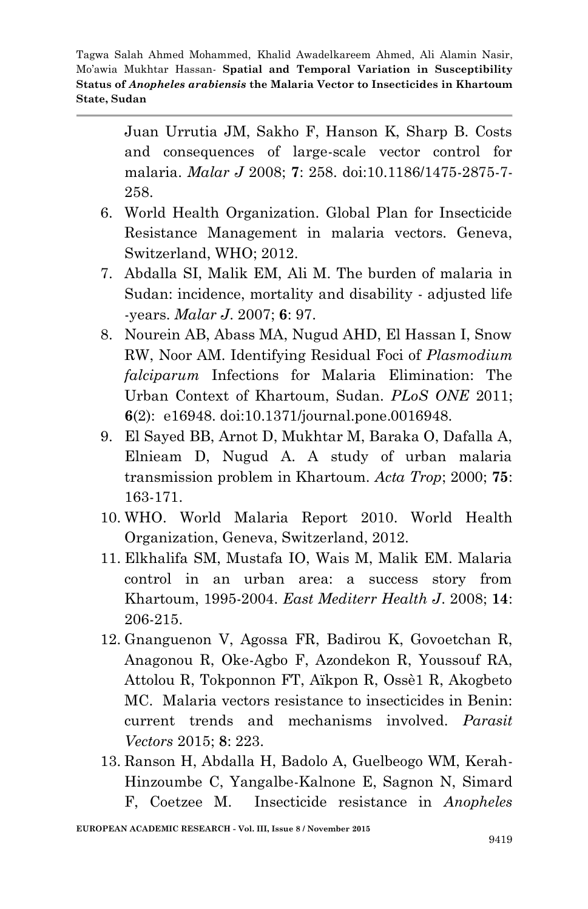> Juan Urrutia JM, Sakho F, Hanson K, Sharp B. Costs and consequences of large-scale vector control for malaria. *Malar J* 2008; **7**: 258. doi:10.1186/1475-2875-7- 258.

- 6. World Health Organization. Global Plan for Insecticide Resistance Management in malaria vectors. Geneva, Switzerland, WHO; 2012.
- 7. Abdalla SI, Malik EM, Ali M. The burden of malaria in Sudan: incidence, mortality and disability - adjusted life -years. *Malar J*. 2007; **6**: 97.
- 8. Nourein AB, Abass MA, Nugud AHD, El Hassan I, Snow RW, Noor AM. Identifying Residual Foci of *Plasmodium falciparum* Infections for Malaria Elimination: The Urban Context of Khartoum, Sudan. *PLoS ONE* 2011; **6**(2):e16948. doi:10.1371/journal.pone.0016948.
- 9. El Sayed BB, Arnot D, Mukhtar M, Baraka O, Dafalla A, Elnieam D, Nugud A. A study of urban malaria transmission problem in Khartoum. *Acta Trop*; 2000; **75**: 163-171.
- 10. WHO. World Malaria Report 2010. World Health Organization, Geneva, Switzerland, 2012.
- 11. Elkhalifa SM, Mustafa IO, Wais M, Malik EM. Malaria control in an urban area: a success story from Khartoum, 1995-2004. *East Mediterr Health J*. 2008; **14**: 206-215.
- 12. Gnanguenon V, Agossa FR, Badirou K, Govoetchan R, Anagonou R, Oke-Agbo F, Azondekon R, Youssouf RA, Attolou R, Tokponnon FT, Aïkpon R, Ossè1 R, Akogbeto MC. Malaria vectors resistance to insecticides in Benin: current trends and mechanisms involved. *Parasit Vectors* 2015; **8**: 223.
- 13. Ranson H, Abdalla H, Badolo A, Guelbeogo WM, Kerah-Hinzoumbe C, Yangalbe-Kalnone E, Sagnon N, Simard F, Coetzee M. Insecticide resistance in *Anopheles*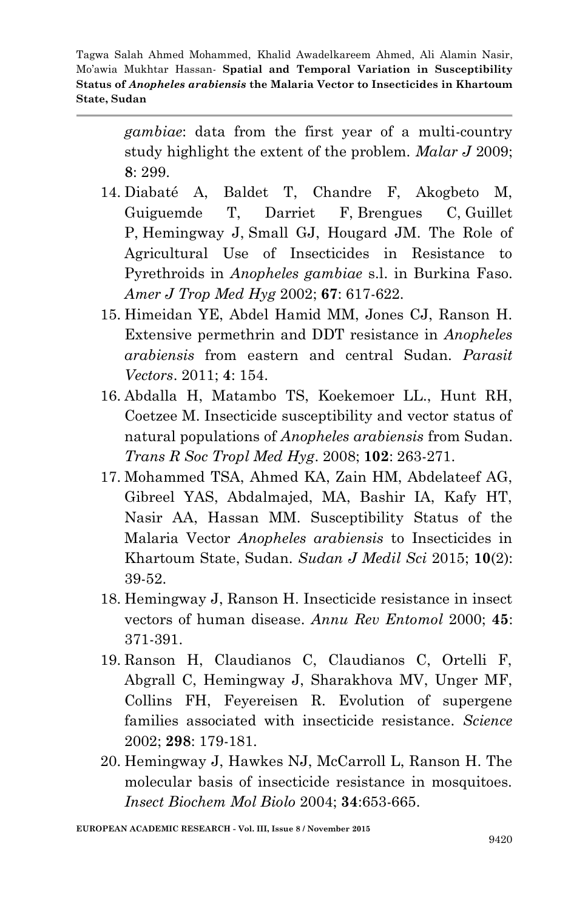> *gambiae*: data from the first year of a multi-country study highlight the extent of the problem. *Malar J* 2009; **8**: 299.

- 14. Diabaté A, Baldet T, Chandre F, Akogbeto M, Guiguemde T, Darriet F, Brengues C, Guillet P, Hemingway J, Small GJ, Hougard JM. The Role of Agricultural Use of Insecticides in Resistance to Pyrethroids in *Anopheles gambiae* s.l. in Burkina Faso. *Amer J Trop Med Hyg* 2002; **67**: 617-622.
- 15. Himeidan YE, Abdel Hamid MM, Jones CJ, Ranson H. Extensive permethrin and DDT resistance in *Anopheles arabiensis* from eastern and central Sudan. *Parasit Vectors*. 2011; **4**: 154.
- 16. Abdalla H, Matambo TS, Koekemoer LL., Hunt RH, Coetzee M. Insecticide susceptibility and vector status of natural populations of *Anopheles arabiensis* from Sudan. *Trans R Soc Tropl Med Hyg*. 2008; **102**: 263-271.
- 17. Mohammed TSA, Ahmed KA, Zain HM, Abdelateef AG, Gibreel YAS, Abdalmajed, MA, Bashir IA, Kafy HT, Nasir AA, Hassan MM. Susceptibility Status of the Malaria Vector *Anopheles arabiensis* to Insecticides in Khartoum State, Sudan. *Sudan J Medil Sci* 2015; **10**(2): 39-52.
- 18. Hemingway J, Ranson H. Insecticide resistance in insect vectors of human disease. *Annu Rev Entomol* 2000; **45**: 371-391.
- 19. Ranson H, Claudianos C, Claudianos C, Ortelli F, Abgrall C, Hemingway J, Sharakhova MV, Unger MF, Collins FH, Feyereisen R. Evolution of supergene families associated with insecticide resistance. *Science* 2002; **298**: 179-181.
- 20. Hemingway J, Hawkes NJ, McCarroll L, Ranson H. The molecular basis of insecticide resistance in mosquitoes. *Insect Biochem Mol Biolo* 2004; **34**:653-665.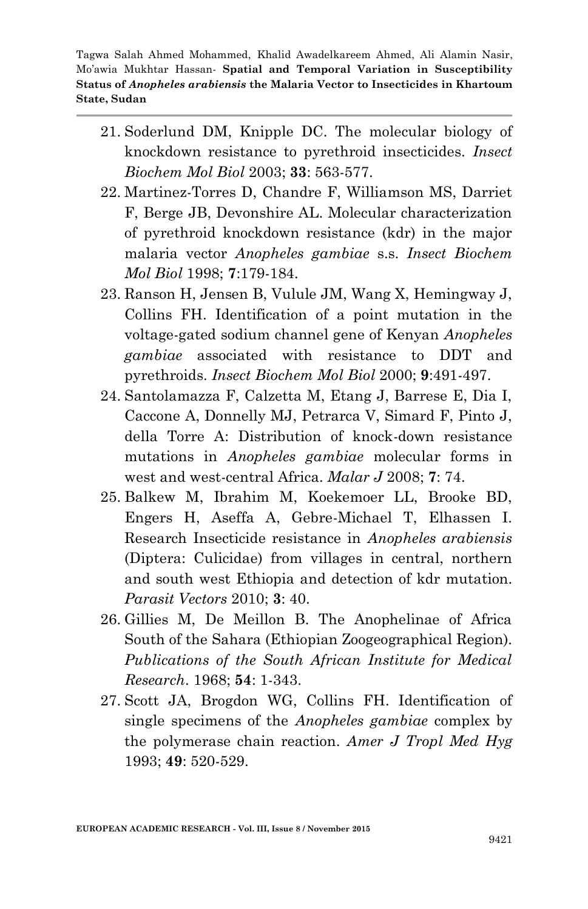- 21. Soderlund DM, Knipple DC. The molecular biology of knockdown resistance to pyrethroid insecticides. *Insect Biochem Mol Biol* 2003; **33**: 563-577.
- 22. Martinez-Torres D, Chandre F, Williamson MS, Darriet F, Berge JB, Devonshire AL. Molecular characterization of pyrethroid knockdown resistance (kdr) in the major malaria vector *Anopheles gambiae* s.s. *Insect Biochem Mol Biol* 1998; **7**:179-184.
- 23. Ranson H, Jensen B, Vulule JM, Wang X, Hemingway J, Collins FH. Identification of a point mutation in the voltage-gated sodium channel gene of Kenyan *Anopheles gambiae* associated with resistance to DDT and pyrethroids. *Insect Biochem Mol Biol* 2000; **9**:491-497.
- 24. Santolamazza F, Calzetta M, Etang J, Barrese E, Dia I, Caccone A, Donnelly MJ, Petrarca V, Simard F, Pinto J, della Torre A: Distribution of knock-down resistance mutations in *Anopheles gambiae* molecular forms in west and west-central Africa. *Malar J* 2008; **7**: 74.
- 25. Balkew M, Ibrahim M, Koekemoer LL, Brooke BD, Engers H, Aseffa A, Gebre-Michael T, Elhassen I. Research Insecticide resistance in *Anopheles arabiensis* (Diptera: Culicidae) from villages in central, northern and south west Ethiopia and detection of kdr mutation. *Parasit Vectors* 2010; **3**: 40.
- 26. Gillies M, De Meillon B. The Anophelinae of Africa South of the Sahara (Ethiopian Zoogeographical Region). *Publications of the South African Institute for Medical Research*. 1968; **54**: 1-343.
- 27. Scott JA, Brogdon WG, Collins FH. Identification of single specimens of the *Anopheles gambiae* complex by the polymerase chain reaction. *Amer J Tropl Med Hyg*  1993; **49**: 520-529.